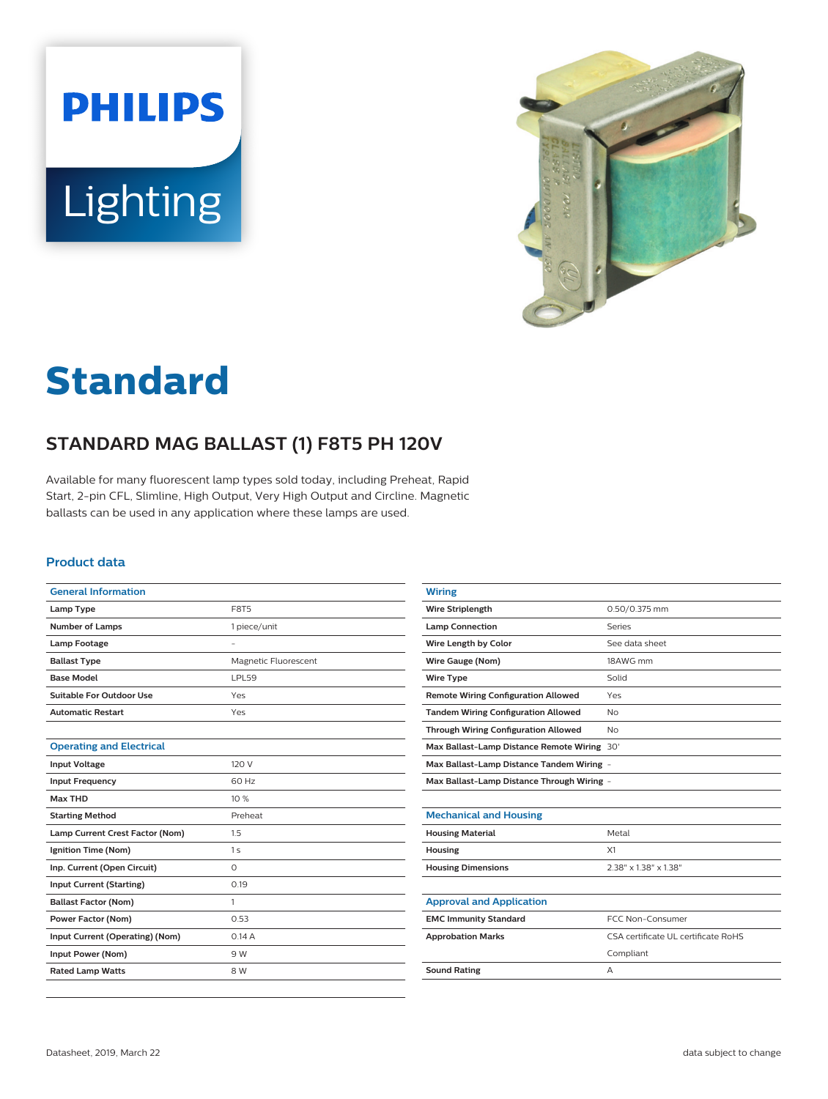



# **Standard**

## **STANDARD MAG BALLAST (1) F8T5 PH 120V**

Available for many fluorescent lamp types sold today, including Preheat, Rapid Start, 2-pin CFL, Slimline, High Output, Very High Output and Circline. Magnetic ballasts can be used in any application where these lamps are used.

#### **Product data**

| <b>General Information</b>      |                      |  |  |  |  |
|---------------------------------|----------------------|--|--|--|--|
| Lamp Type                       | <b>F8T5</b>          |  |  |  |  |
| <b>Number of Lamps</b>          | 1 piece/unit         |  |  |  |  |
| <b>Lamp Footage</b>             |                      |  |  |  |  |
| <b>Ballast Type</b>             | Magnetic Fluorescent |  |  |  |  |
| <b>Base Model</b>               | LPL59                |  |  |  |  |
| Suitable For Outdoor Use        | Yes                  |  |  |  |  |
| <b>Automatic Restart</b>        | Yes                  |  |  |  |  |
|                                 |                      |  |  |  |  |
| <b>Operating and Electrical</b> |                      |  |  |  |  |
| <b>Input Voltage</b>            | 120 V                |  |  |  |  |
| <b>Input Frequency</b>          | 60 Hz                |  |  |  |  |
| <b>Max THD</b>                  | 10%                  |  |  |  |  |
| <b>Starting Method</b>          | Preheat              |  |  |  |  |
| Lamp Current Crest Factor (Nom) | 1.5                  |  |  |  |  |
| Ignition Time (Nom)             | 1 <sub>s</sub>       |  |  |  |  |
| Inp. Current (Open Circuit)     | $\Omega$             |  |  |  |  |
| <b>Input Current (Starting)</b> | 0.19                 |  |  |  |  |
| <b>Ballast Factor (Nom)</b>     | 1                    |  |  |  |  |
| <b>Power Factor (Nom)</b>       | 0.53                 |  |  |  |  |
| Input Current (Operating) (Nom) | 0.14A                |  |  |  |  |
| Input Power (Nom)               | 9 W                  |  |  |  |  |
| <b>Rated Lamp Watts</b>         | 8 W                  |  |  |  |  |
|                                 |                      |  |  |  |  |

| <b>Wiring</b>                               |                                     |  |  |  |  |
|---------------------------------------------|-------------------------------------|--|--|--|--|
| <b>Wire Striplength</b>                     | 0.50/0.375 mm                       |  |  |  |  |
| <b>Lamp Connection</b>                      | Series                              |  |  |  |  |
| Wire Length by Color                        | See data sheet                      |  |  |  |  |
| Wire Gauge (Nom)                            | 18AWG mm                            |  |  |  |  |
| <b>Wire Type</b>                            | Solid                               |  |  |  |  |
| <b>Remote Wiring Configuration Allowed</b>  | Yes                                 |  |  |  |  |
| <b>Tandem Wiring Configuration Allowed</b>  | N <sub>o</sub>                      |  |  |  |  |
| <b>Through Wiring Configuration Allowed</b> | N <sub>o</sub>                      |  |  |  |  |
| Max Ballast-Lamp Distance Remote Wiring 30' |                                     |  |  |  |  |
| Max Ballast-Lamp Distance Tandem Wiring -   |                                     |  |  |  |  |
| Max Ballast-Lamp Distance Through Wiring -  |                                     |  |  |  |  |
|                                             |                                     |  |  |  |  |
| <b>Mechanical and Housing</b>               |                                     |  |  |  |  |
| <b>Housing Material</b>                     | Metal                               |  |  |  |  |
| Housing                                     | X1                                  |  |  |  |  |
| <b>Housing Dimensions</b>                   | 2.38" x 1.38" x 1.38"               |  |  |  |  |
|                                             |                                     |  |  |  |  |
| <b>Approval and Application</b>             |                                     |  |  |  |  |
| <b>EMC Immunity Standard</b>                | <b>FCC Non-Consumer</b>             |  |  |  |  |
| <b>Approbation Marks</b>                    | CSA certificate UL certificate RoHS |  |  |  |  |
|                                             | Compliant                           |  |  |  |  |
| <b>Sound Rating</b>                         | А                                   |  |  |  |  |
|                                             |                                     |  |  |  |  |